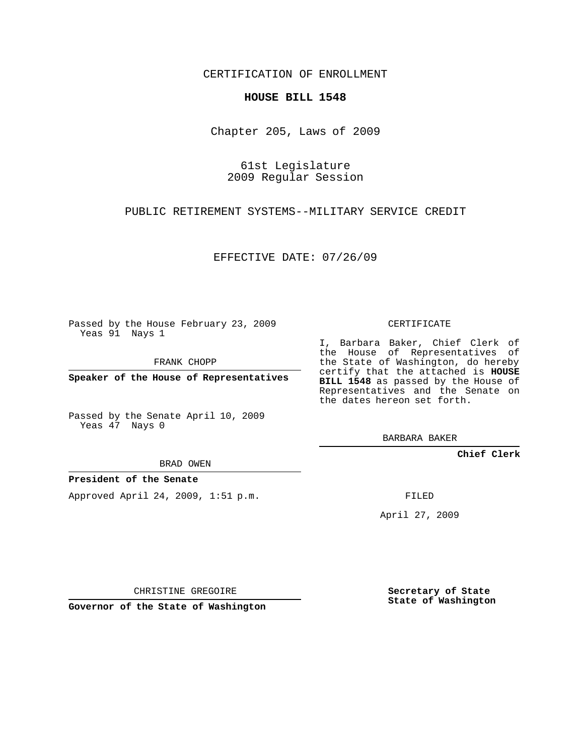## CERTIFICATION OF ENROLLMENT

## **HOUSE BILL 1548**

Chapter 205, Laws of 2009

61st Legislature 2009 Regular Session

PUBLIC RETIREMENT SYSTEMS--MILITARY SERVICE CREDIT

EFFECTIVE DATE: 07/26/09

Passed by the House February 23, 2009 Yeas 91 Nays 1

FRANK CHOPP

**Speaker of the House of Representatives**

Passed by the Senate April 10, 2009 Yeas 47 Nays 0

BRAD OWEN

**President of the Senate**

Approved April 24, 2009, 1:51 p.m.

CERTIFICATE

I, Barbara Baker, Chief Clerk of the House of Representatives of the State of Washington, do hereby certify that the attached is **HOUSE BILL 1548** as passed by the House of Representatives and the Senate on the dates hereon set forth.

BARBARA BAKER

**Chief Clerk**

FILED

April 27, 2009

CHRISTINE GREGOIRE

**Governor of the State of Washington**

**Secretary of State State of Washington**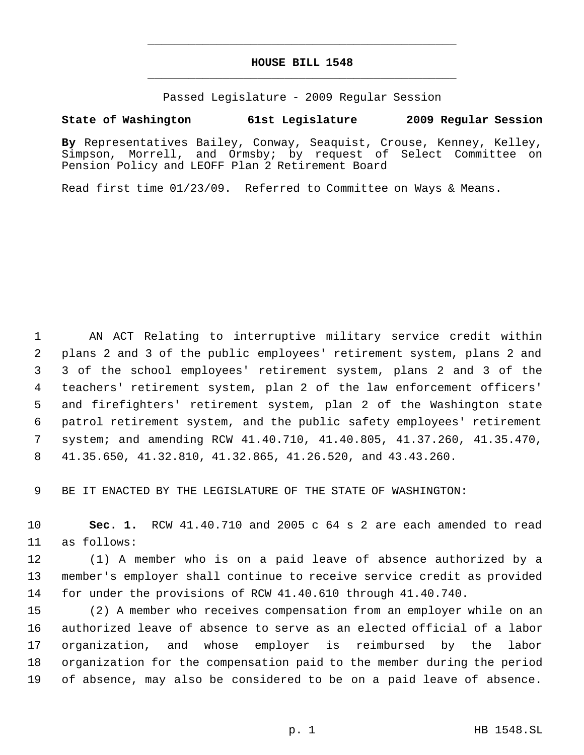## **HOUSE BILL 1548** \_\_\_\_\_\_\_\_\_\_\_\_\_\_\_\_\_\_\_\_\_\_\_\_\_\_\_\_\_\_\_\_\_\_\_\_\_\_\_\_\_\_\_\_\_

\_\_\_\_\_\_\_\_\_\_\_\_\_\_\_\_\_\_\_\_\_\_\_\_\_\_\_\_\_\_\_\_\_\_\_\_\_\_\_\_\_\_\_\_\_

Passed Legislature - 2009 Regular Session

## **State of Washington 61st Legislature 2009 Regular Session**

**By** Representatives Bailey, Conway, Seaquist, Crouse, Kenney, Kelley, Simpson, Morrell, and Ormsby; by request of Select Committee on Pension Policy and LEOFF Plan 2 Retirement Board

Read first time 01/23/09. Referred to Committee on Ways & Means.

 AN ACT Relating to interruptive military service credit within plans 2 and 3 of the public employees' retirement system, plans 2 and 3 of the school employees' retirement system, plans 2 and 3 of the teachers' retirement system, plan 2 of the law enforcement officers' and firefighters' retirement system, plan 2 of the Washington state patrol retirement system, and the public safety employees' retirement system; and amending RCW 41.40.710, 41.40.805, 41.37.260, 41.35.470, 41.35.650, 41.32.810, 41.32.865, 41.26.520, and 43.43.260.

BE IT ENACTED BY THE LEGISLATURE OF THE STATE OF WASHINGTON:

 **Sec. 1.** RCW 41.40.710 and 2005 c 64 s 2 are each amended to read as follows:

 (1) A member who is on a paid leave of absence authorized by a member's employer shall continue to receive service credit as provided for under the provisions of RCW 41.40.610 through 41.40.740.

 (2) A member who receives compensation from an employer while on an authorized leave of absence to serve as an elected official of a labor organization, and whose employer is reimbursed by the labor organization for the compensation paid to the member during the period of absence, may also be considered to be on a paid leave of absence.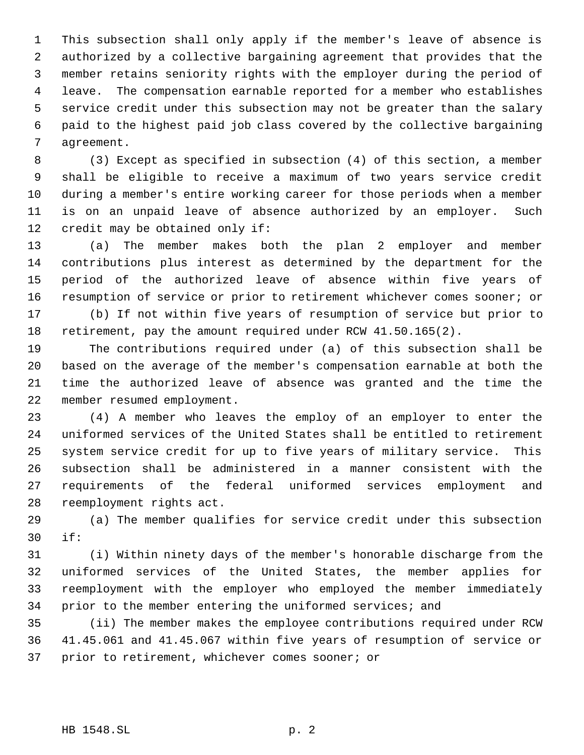This subsection shall only apply if the member's leave of absence is authorized by a collective bargaining agreement that provides that the member retains seniority rights with the employer during the period of leave. The compensation earnable reported for a member who establishes service credit under this subsection may not be greater than the salary paid to the highest paid job class covered by the collective bargaining agreement.

 (3) Except as specified in subsection (4) of this section, a member shall be eligible to receive a maximum of two years service credit during a member's entire working career for those periods when a member is on an unpaid leave of absence authorized by an employer. Such credit may be obtained only if:

 (a) The member makes both the plan 2 employer and member contributions plus interest as determined by the department for the period of the authorized leave of absence within five years of resumption of service or prior to retirement whichever comes sooner; or (b) If not within five years of resumption of service but prior to

retirement, pay the amount required under RCW 41.50.165(2).

 The contributions required under (a) of this subsection shall be based on the average of the member's compensation earnable at both the time the authorized leave of absence was granted and the time the member resumed employment.

 (4) A member who leaves the employ of an employer to enter the uniformed services of the United States shall be entitled to retirement system service credit for up to five years of military service. This subsection shall be administered in a manner consistent with the requirements of the federal uniformed services employment and reemployment rights act.

 (a) The member qualifies for service credit under this subsection if:

 (i) Within ninety days of the member's honorable discharge from the uniformed services of the United States, the member applies for reemployment with the employer who employed the member immediately 34 prior to the member entering the uniformed services; and

 (ii) The member makes the employee contributions required under RCW 41.45.061 and 41.45.067 within five years of resumption of service or prior to retirement, whichever comes sooner; or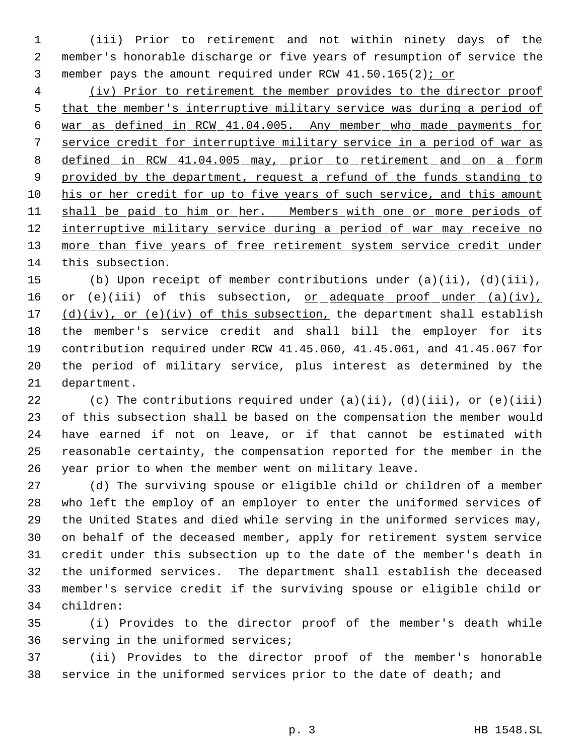(iii) Prior to retirement and not within ninety days of the member's honorable discharge or five years of resumption of service the member pays the amount required under RCW 41.50.165(2); or

 (iv) Prior to retirement the member provides to the director proof that the member's interruptive military service was during a period of war as defined in RCW 41.04.005. Any member who made payments for service credit for interruptive military service in a period of war as 8 defined in RCW 41.04.005 may, prior to retirement and on a form 9 provided by the department, request a refund of the funds standing to his or her credit for up to five years of such service, and this amount 11 shall be paid to him or her. Members with one or more periods of 12 interruptive military service during a period of war may receive no 13 more than five years of free retirement system service credit under this subsection.

 (b) Upon receipt of member contributions under (a)(ii), (d)(iii), 16 or (e)(iii) of this subsection, or adequate proof under (a)(iv),  $(d)(iv)$ , or (e)(iv) of this subsection, the department shall establish the member's service credit and shall bill the employer for its contribution required under RCW 41.45.060, 41.45.061, and 41.45.067 for the period of military service, plus interest as determined by the department.

 (c) The contributions required under (a)(ii), (d)(iii), or (e)(iii) of this subsection shall be based on the compensation the member would have earned if not on leave, or if that cannot be estimated with reasonable certainty, the compensation reported for the member in the year prior to when the member went on military leave.

 (d) The surviving spouse or eligible child or children of a member who left the employ of an employer to enter the uniformed services of the United States and died while serving in the uniformed services may, on behalf of the deceased member, apply for retirement system service credit under this subsection up to the date of the member's death in the uniformed services. The department shall establish the deceased member's service credit if the surviving spouse or eligible child or children:

 (i) Provides to the director proof of the member's death while serving in the uniformed services;

 (ii) Provides to the director proof of the member's honorable service in the uniformed services prior to the date of death; and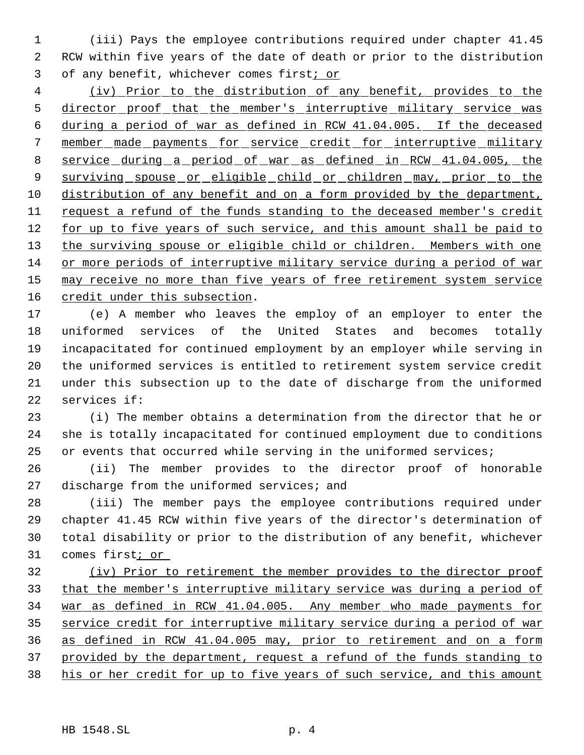(iii) Pays the employee contributions required under chapter 41.45 RCW within five years of the date of death or prior to the distribution of any benefit, whichever comes first; or

 (iv) Prior to the distribution of any benefit, provides to the 5 director proof that the member's interruptive military service was during a period of war as defined in RCW 41.04.005. If the deceased member made payments for service credit for interruptive military service during a period of war as defined in RCW 41.04.005, the 9 surviving spouse or eligible child or children may, prior to the distribution of any benefit and on a form provided by the department, request a refund of the funds standing to the deceased member's credit 12 for up to five years of such service, and this amount shall be paid to 13 the surviving spouse or eligible child or children. Members with one or more periods of interruptive military service during a period of war 15 may receive no more than five years of free retirement system service 16 credit under this subsection.

 (e) A member who leaves the employ of an employer to enter the uniformed services of the United States and becomes totally incapacitated for continued employment by an employer while serving in the uniformed services is entitled to retirement system service credit under this subsection up to the date of discharge from the uniformed services if:

 (i) The member obtains a determination from the director that he or she is totally incapacitated for continued employment due to conditions 25 or events that occurred while serving in the uniformed services;

 (ii) The member provides to the director proof of honorable 27 discharge from the uniformed services; and

 (iii) The member pays the employee contributions required under chapter 41.45 RCW within five years of the director's determination of total disability or prior to the distribution of any benefit, whichever 31 comes first; or

 (iv) Prior to retirement the member provides to the director proof that the member's interruptive military service was during a period of war as defined in RCW 41.04.005. Any member who made payments for service credit for interruptive military service during a period of war as defined in RCW 41.04.005 may, prior to retirement and on a form provided by the department, request a refund of the funds standing to 38 his or her credit for up to five years of such service, and this amount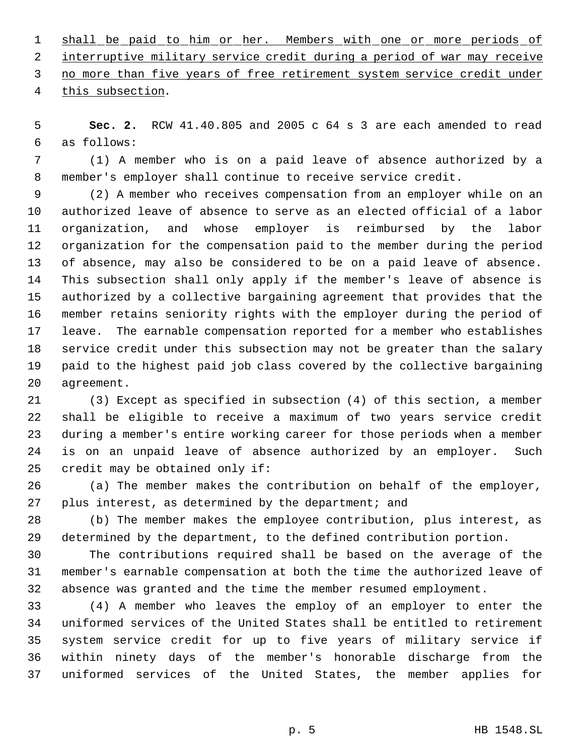1 shall be paid to him or her. Members with one or more periods of interruptive military service credit during a period of war may receive no more than five years of free retirement system service credit under this subsection.

 **Sec. 2.** RCW 41.40.805 and 2005 c 64 s 3 are each amended to read as follows:

 (1) A member who is on a paid leave of absence authorized by a member's employer shall continue to receive service credit.

 (2) A member who receives compensation from an employer while on an authorized leave of absence to serve as an elected official of a labor organization, and whose employer is reimbursed by the labor organization for the compensation paid to the member during the period of absence, may also be considered to be on a paid leave of absence. This subsection shall only apply if the member's leave of absence is authorized by a collective bargaining agreement that provides that the member retains seniority rights with the employer during the period of leave. The earnable compensation reported for a member who establishes service credit under this subsection may not be greater than the salary paid to the highest paid job class covered by the collective bargaining agreement.

 (3) Except as specified in subsection (4) of this section, a member shall be eligible to receive a maximum of two years service credit during a member's entire working career for those periods when a member is on an unpaid leave of absence authorized by an employer. Such credit may be obtained only if:

 (a) The member makes the contribution on behalf of the employer, plus interest, as determined by the department; and

 (b) The member makes the employee contribution, plus interest, as determined by the department, to the defined contribution portion.

 The contributions required shall be based on the average of the member's earnable compensation at both the time the authorized leave of absence was granted and the time the member resumed employment.

 (4) A member who leaves the employ of an employer to enter the uniformed services of the United States shall be entitled to retirement system service credit for up to five years of military service if within ninety days of the member's honorable discharge from the uniformed services of the United States, the member applies for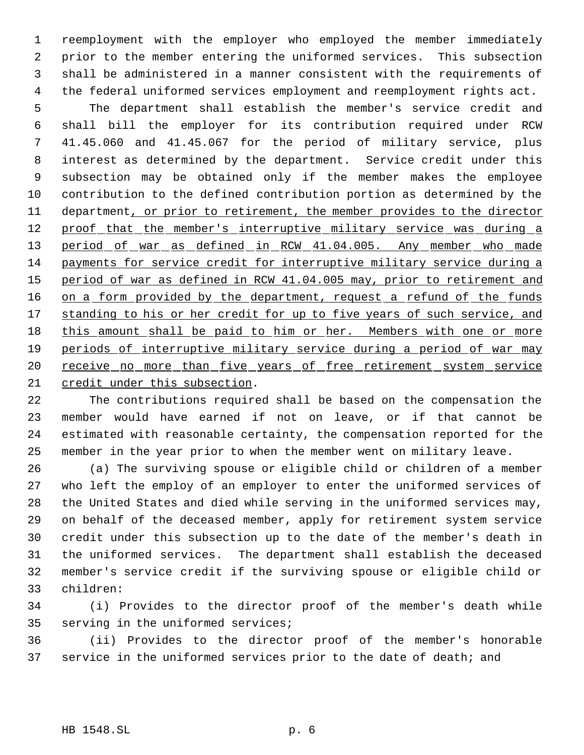reemployment with the employer who employed the member immediately prior to the member entering the uniformed services. This subsection shall be administered in a manner consistent with the requirements of the federal uniformed services employment and reemployment rights act.

 The department shall establish the member's service credit and shall bill the employer for its contribution required under RCW 41.45.060 and 41.45.067 for the period of military service, plus interest as determined by the department. Service credit under this subsection may be obtained only if the member makes the employee contribution to the defined contribution portion as determined by the 11 department, or prior to retirement, the member provides to the director 12 proof that the member's interruptive military service was during a 13 period of war as defined in RCW 41.04.005. Any member who made payments for service credit for interruptive military service during a period of war as defined in RCW 41.04.005 may, prior to retirement and 16 on a form provided by the department, request a refund of the funds 17 standing to his or her credit for up to five years of such service, and 18 this amount shall be paid to him or her. Members with one or more 19 periods of interruptive military service during a period of war may 20 receive no more than five years of free retirement system service credit under this subsection.

 The contributions required shall be based on the compensation the member would have earned if not on leave, or if that cannot be estimated with reasonable certainty, the compensation reported for the member in the year prior to when the member went on military leave.

 (a) The surviving spouse or eligible child or children of a member who left the employ of an employer to enter the uniformed services of the United States and died while serving in the uniformed services may, on behalf of the deceased member, apply for retirement system service credit under this subsection up to the date of the member's death in the uniformed services. The department shall establish the deceased member's service credit if the surviving spouse or eligible child or children:

 (i) Provides to the director proof of the member's death while serving in the uniformed services;

 (ii) Provides to the director proof of the member's honorable service in the uniformed services prior to the date of death; and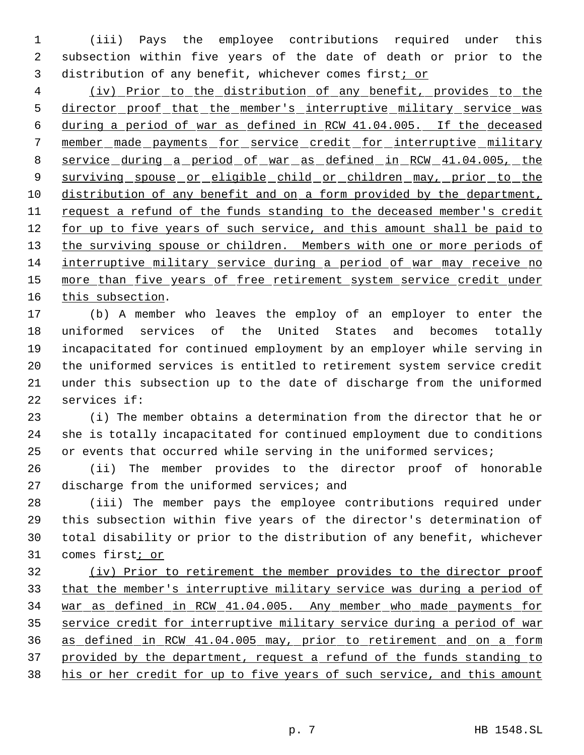(iii) Pays the employee contributions required under this subsection within five years of the date of death or prior to the distribution of any benefit, whichever comes first; or

 (iv) Prior to the distribution of any benefit, provides to the 5 director proof that the member's interruptive military service was during a period of war as defined in RCW 41.04.005. If the deceased member made payments for service credit for interruptive military service during a period of war as defined in RCW 41.04.005, the 9 surviving spouse or eligible child or children may, prior to the distribution of any benefit and on a form provided by the department, request a refund of the funds standing to the deceased member's credit 12 for up to five years of such service, and this amount shall be paid to 13 the surviving spouse or children. Members with one or more periods of interruptive military service during a period of war may receive no 15 more than five years of free retirement system service credit under this subsection.

 (b) A member who leaves the employ of an employer to enter the uniformed services of the United States and becomes totally incapacitated for continued employment by an employer while serving in the uniformed services is entitled to retirement system service credit under this subsection up to the date of discharge from the uniformed services if:

 (i) The member obtains a determination from the director that he or she is totally incapacitated for continued employment due to conditions 25 or events that occurred while serving in the uniformed services;

 (ii) The member provides to the director proof of honorable 27 discharge from the uniformed services; and

 (iii) The member pays the employee contributions required under this subsection within five years of the director's determination of total disability or prior to the distribution of any benefit, whichever 31 comes first<sub>i or</sub>

 (iv) Prior to retirement the member provides to the director proof that the member's interruptive military service was during a period of war as defined in RCW 41.04.005. Any member who made payments for service credit for interruptive military service during a period of war as defined in RCW 41.04.005 may, prior to retirement and on a form provided by the department, request a refund of the funds standing to 38 his or her credit for up to five years of such service, and this amount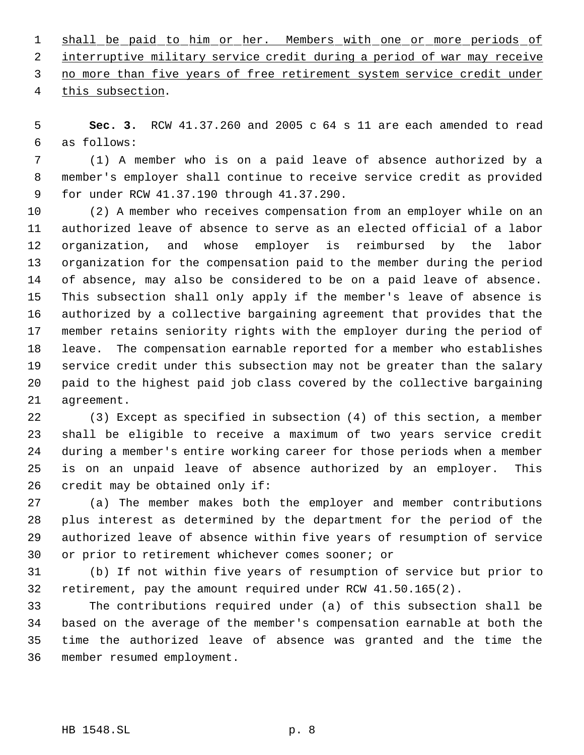1 shall be paid to him or her. Members with one or more periods of interruptive military service credit during a period of war may receive no more than five years of free retirement system service credit under this subsection.

 **Sec. 3.** RCW 41.37.260 and 2005 c 64 s 11 are each amended to read as follows:

 (1) A member who is on a paid leave of absence authorized by a member's employer shall continue to receive service credit as provided for under RCW 41.37.190 through 41.37.290.

 (2) A member who receives compensation from an employer while on an authorized leave of absence to serve as an elected official of a labor organization, and whose employer is reimbursed by the labor organization for the compensation paid to the member during the period of absence, may also be considered to be on a paid leave of absence. This subsection shall only apply if the member's leave of absence is authorized by a collective bargaining agreement that provides that the member retains seniority rights with the employer during the period of leave. The compensation earnable reported for a member who establishes service credit under this subsection may not be greater than the salary paid to the highest paid job class covered by the collective bargaining agreement.

 (3) Except as specified in subsection (4) of this section, a member shall be eligible to receive a maximum of two years service credit during a member's entire working career for those periods when a member is on an unpaid leave of absence authorized by an employer. This credit may be obtained only if:

 (a) The member makes both the employer and member contributions plus interest as determined by the department for the period of the authorized leave of absence within five years of resumption of service or prior to retirement whichever comes sooner; or

 (b) If not within five years of resumption of service but prior to retirement, pay the amount required under RCW 41.50.165(2).

 The contributions required under (a) of this subsection shall be based on the average of the member's compensation earnable at both the time the authorized leave of absence was granted and the time the member resumed employment.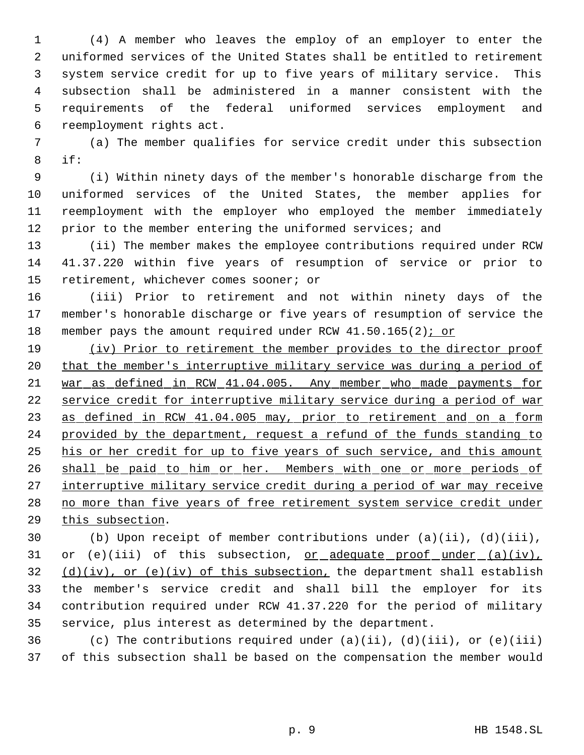(4) A member who leaves the employ of an employer to enter the uniformed services of the United States shall be entitled to retirement system service credit for up to five years of military service. This subsection shall be administered in a manner consistent with the requirements of the federal uniformed services employment and reemployment rights act.

 (a) The member qualifies for service credit under this subsection if:

 (i) Within ninety days of the member's honorable discharge from the uniformed services of the United States, the member applies for reemployment with the employer who employed the member immediately prior to the member entering the uniformed services; and

 (ii) The member makes the employee contributions required under RCW 41.37.220 within five years of resumption of service or prior to retirement, whichever comes sooner; or

 (iii) Prior to retirement and not within ninety days of the member's honorable discharge or five years of resumption of service the member pays the amount required under RCW 41.50.165(2); or

19 (iv) Prior to retirement the member provides to the director proof 20 that the member's interruptive military service was during a period of war as defined in RCW 41.04.005. Any member who made payments for service credit for interruptive military service during a period of war 23 as defined in RCW 41.04.005 may, prior to retirement and on a form 24 provided by the department, request a refund of the funds standing to his or her credit for up to five years of such service, and this amount 26 shall be paid to him or her. Members with one or more periods of 27 interruptive military service credit during a period of war may receive no more than five years of free retirement system service credit under this subsection.

 (b) Upon receipt of member contributions under (a)(ii), (d)(iii), 31 or (e)(iii) of this subsection,  $or_ddequate_proot_under(a)(iv),$ </u>  $(d)(iv)$ , or (e)(iv) of this subsection, the department shall establish the member's service credit and shall bill the employer for its contribution required under RCW 41.37.220 for the period of military service, plus interest as determined by the department.

36 (c) The contributions required under  $(a)(ii)$ ,  $(d)(iii)$ , or  $(e)(iii)$ of this subsection shall be based on the compensation the member would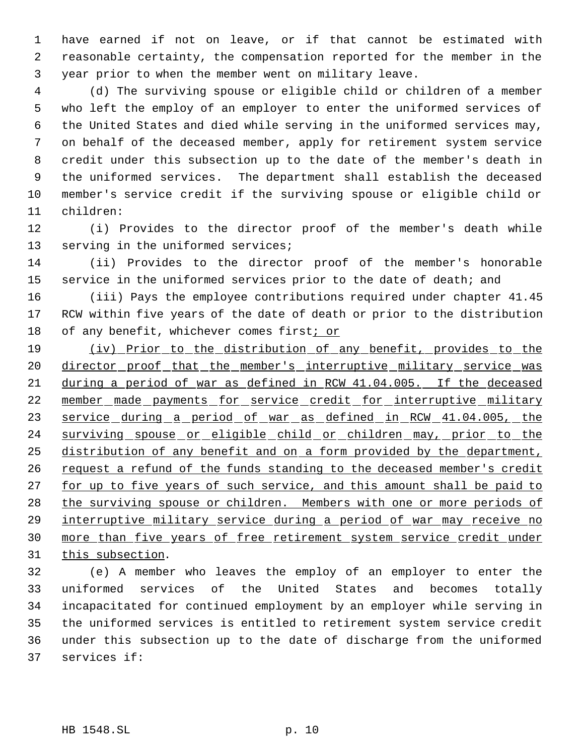have earned if not on leave, or if that cannot be estimated with reasonable certainty, the compensation reported for the member in the year prior to when the member went on military leave.

 (d) The surviving spouse or eligible child or children of a member who left the employ of an employer to enter the uniformed services of the United States and died while serving in the uniformed services may, on behalf of the deceased member, apply for retirement system service credit under this subsection up to the date of the member's death in the uniformed services. The department shall establish the deceased member's service credit if the surviving spouse or eligible child or children:

 (i) Provides to the director proof of the member's death while 13 serving in the uniformed services;

 (ii) Provides to the director proof of the member's honorable 15 service in the uniformed services prior to the date of death; and

 (iii) Pays the employee contributions required under chapter 41.45 RCW within five years of the date of death or prior to the distribution 18 of any benefit, whichever comes first; or

19 (iv) Prior to the distribution of any benefit, provides to the 20 director proof that the member's interruptive military service was during a period of war as defined in RCW 41.04.005. If the deceased 22 member made payments for service credit for interruptive military service during a period of war as defined in RCW 41.04.005, the 24 surviving spouse or eligible child or children may, prior to the 25 distribution of any benefit and on a form provided by the department, 26 request a refund of the funds standing to the deceased member's credit 27 for up to five years of such service, and this amount shall be paid to the surviving spouse or children. Members with one or more periods of interruptive military service during a period of war may receive no more than five years of free retirement system service credit under 31 this subsection.

 (e) A member who leaves the employ of an employer to enter the uniformed services of the United States and becomes totally incapacitated for continued employment by an employer while serving in the uniformed services is entitled to retirement system service credit under this subsection up to the date of discharge from the uniformed services if: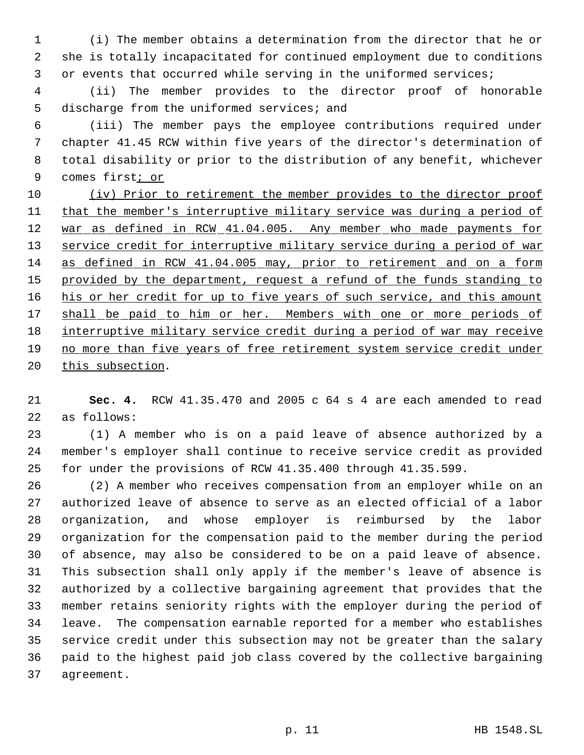(i) The member obtains a determination from the director that he or she is totally incapacitated for continued employment due to conditions or events that occurred while serving in the uniformed services;

 (ii) The member provides to the director proof of honorable discharge from the uniformed services; and

 (iii) The member pays the employee contributions required under chapter 41.45 RCW within five years of the director's determination of total disability or prior to the distribution of any benefit, whichever 9 comes first<sub>i or</sub>

 (iv) Prior to retirement the member provides to the director proof 11 that the member's interruptive military service was during a period of 12 war as defined in RCW 41.04.005. Any member who made payments for 13 service credit for interruptive military service during a period of war as defined in RCW 41.04.005 may, prior to retirement and on a form 15 provided by the department, request a refund of the funds standing to 16 his or her credit for up to five years of such service, and this amount 17 shall be paid to him or her. Members with one or more periods of interruptive military service credit during a period of war may receive no more than five years of free retirement system service credit under 20 this subsection.

 **Sec. 4.** RCW 41.35.470 and 2005 c 64 s 4 are each amended to read as follows:

 (1) A member who is on a paid leave of absence authorized by a member's employer shall continue to receive service credit as provided for under the provisions of RCW 41.35.400 through 41.35.599.

 (2) A member who receives compensation from an employer while on an authorized leave of absence to serve as an elected official of a labor organization, and whose employer is reimbursed by the labor organization for the compensation paid to the member during the period of absence, may also be considered to be on a paid leave of absence. This subsection shall only apply if the member's leave of absence is authorized by a collective bargaining agreement that provides that the member retains seniority rights with the employer during the period of leave. The compensation earnable reported for a member who establishes service credit under this subsection may not be greater than the salary paid to the highest paid job class covered by the collective bargaining agreement.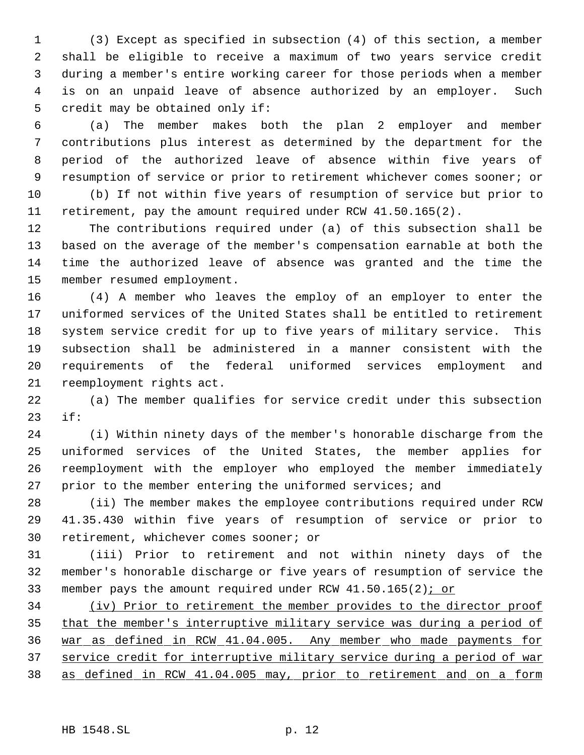(3) Except as specified in subsection (4) of this section, a member shall be eligible to receive a maximum of two years service credit during a member's entire working career for those periods when a member is on an unpaid leave of absence authorized by an employer. Such credit may be obtained only if:

 (a) The member makes both the plan 2 employer and member contributions plus interest as determined by the department for the period of the authorized leave of absence within five years of resumption of service or prior to retirement whichever comes sooner; or (b) If not within five years of resumption of service but prior to retirement, pay the amount required under RCW 41.50.165(2).

 The contributions required under (a) of this subsection shall be based on the average of the member's compensation earnable at both the time the authorized leave of absence was granted and the time the member resumed employment.

 (4) A member who leaves the employ of an employer to enter the uniformed services of the United States shall be entitled to retirement system service credit for up to five years of military service. This subsection shall be administered in a manner consistent with the requirements of the federal uniformed services employment and reemployment rights act.

 (a) The member qualifies for service credit under this subsection if:

 (i) Within ninety days of the member's honorable discharge from the uniformed services of the United States, the member applies for reemployment with the employer who employed the member immediately prior to the member entering the uniformed services; and

 (ii) The member makes the employee contributions required under RCW 41.35.430 within five years of resumption of service or prior to retirement, whichever comes sooner; or

 (iii) Prior to retirement and not within ninety days of the member's honorable discharge or five years of resumption of service the 33 member pays the amount required under RCW  $41.50.165(2)$ ; or

 (iv) Prior to retirement the member provides to the director proof 35 that the member's interruptive military service was during a period of war as defined in RCW 41.04.005. Any member who made payments for service credit for interruptive military service during a period of war as defined in RCW 41.04.005 may, prior to retirement and on a form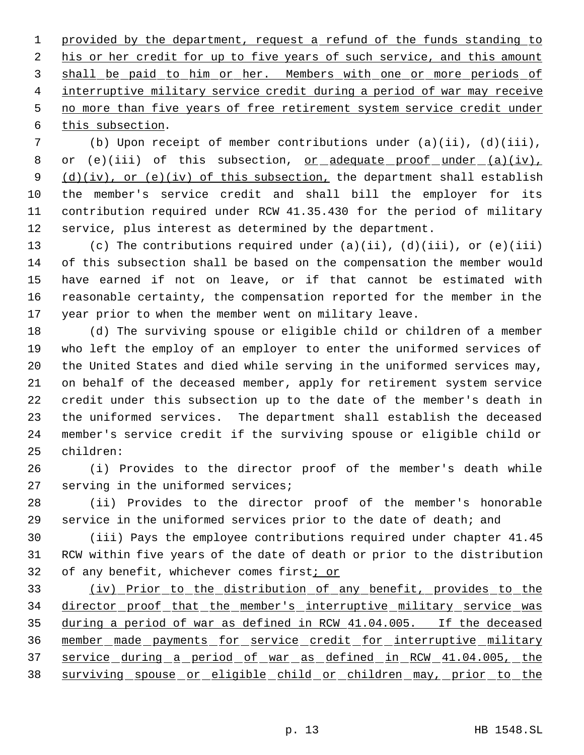1 provided by the department, request a refund of the funds standing to 2 his or her credit for up to five years of such service, and this amount shall be paid to him or her. Members with one or more periods of interruptive military service credit during a period of war may receive no more than five years of free retirement system service credit under 6 this subsection.

 (b) Upon receipt of member contributions under (a)(ii), (d)(iii), 8 or (e)(iii) of this subsection, <u>or adequate proof under (a)(iv)</u>,  $(d)(iv)$ , or (e)(iv) of this subsection, the department shall establish the member's service credit and shall bill the employer for its contribution required under RCW 41.35.430 for the period of military service, plus interest as determined by the department.

 (c) The contributions required under (a)(ii), (d)(iii), or (e)(iii) of this subsection shall be based on the compensation the member would have earned if not on leave, or if that cannot be estimated with reasonable certainty, the compensation reported for the member in the year prior to when the member went on military leave.

 (d) The surviving spouse or eligible child or children of a member who left the employ of an employer to enter the uniformed services of the United States and died while serving in the uniformed services may, on behalf of the deceased member, apply for retirement system service credit under this subsection up to the date of the member's death in the uniformed services. The department shall establish the deceased member's service credit if the surviving spouse or eligible child or children:

 (i) Provides to the director proof of the member's death while serving in the uniformed services;

 (ii) Provides to the director proof of the member's honorable service in the uniformed services prior to the date of death; and

 (iii) Pays the employee contributions required under chapter 41.45 RCW within five years of the date of death or prior to the distribution of any benefit, whichever comes first; or

 (iv) Prior to the distribution of any benefit, provides to the 34 director proof that the member's interruptive military service was during a period of war as defined in RCW 41.04.005. If the deceased member made payments for service credit for interruptive military service during a period of war as defined in RCW 41.04.005, the surviving spouse or eligible child or children may, prior to the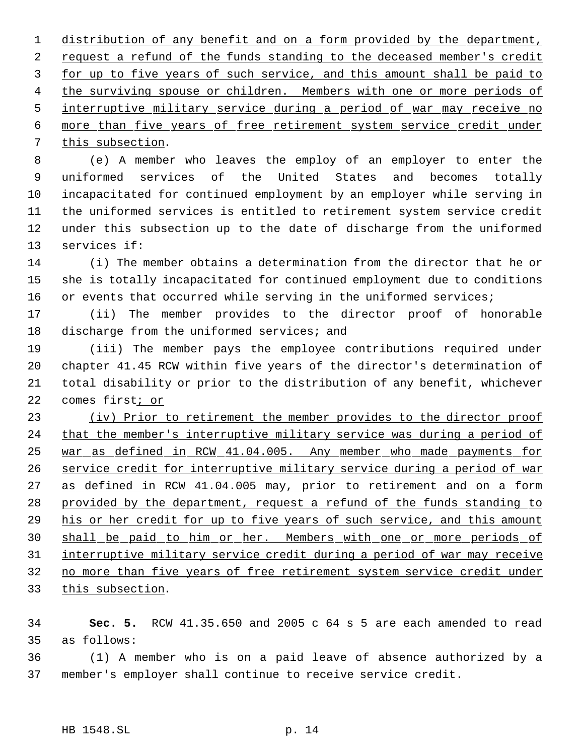distribution of any benefit and on a form provided by the department, 2 request a refund of the funds standing to the deceased member's credit 3 for up to five years of such service, and this amount shall be paid to the surviving spouse or children. Members with one or more periods of interruptive military service during a period of war may receive no more than five years of free retirement system service credit under this subsection.

 (e) A member who leaves the employ of an employer to enter the uniformed services of the United States and becomes totally incapacitated for continued employment by an employer while serving in the uniformed services is entitled to retirement system service credit under this subsection up to the date of discharge from the uniformed services if:

 (i) The member obtains a determination from the director that he or she is totally incapacitated for continued employment due to conditions 16 or events that occurred while serving in the uniformed services;

 (ii) The member provides to the director proof of honorable discharge from the uniformed services; and

 (iii) The member pays the employee contributions required under chapter 41.45 RCW within five years of the director's determination of total disability or prior to the distribution of any benefit, whichever comes first; or

 (iv) Prior to retirement the member provides to the director proof 24 that the member's interruptive military service was during a period of war as defined in RCW 41.04.005. Any member who made payments for service credit for interruptive military service during a period of war 27 as defined in RCW 41.04.005 may, prior to retirement and on a form provided by the department, request a refund of the funds standing to his or her credit for up to five years of such service, and this amount shall be paid to him or her. Members with one or more periods of interruptive military service credit during a period of war may receive no more than five years of free retirement system service credit under this subsection.

 **Sec. 5.** RCW 41.35.650 and 2005 c 64 s 5 are each amended to read as follows:

 (1) A member who is on a paid leave of absence authorized by a member's employer shall continue to receive service credit.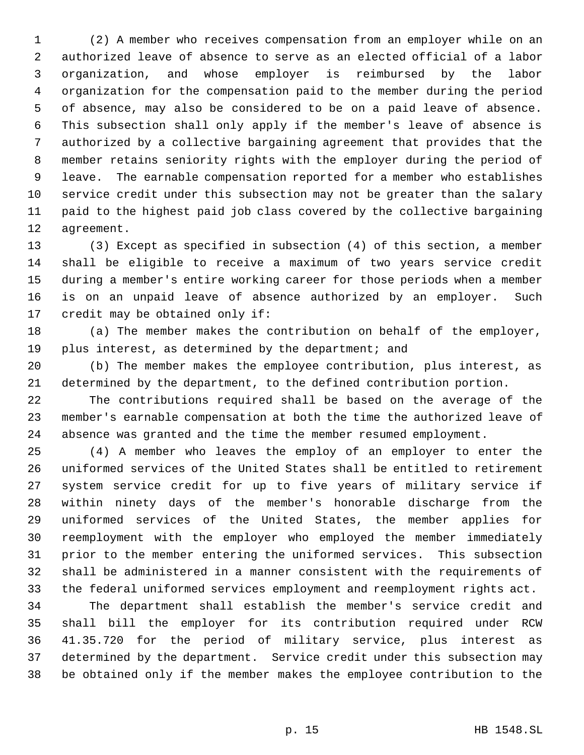(2) A member who receives compensation from an employer while on an authorized leave of absence to serve as an elected official of a labor organization, and whose employer is reimbursed by the labor organization for the compensation paid to the member during the period of absence, may also be considered to be on a paid leave of absence. This subsection shall only apply if the member's leave of absence is authorized by a collective bargaining agreement that provides that the member retains seniority rights with the employer during the period of leave. The earnable compensation reported for a member who establishes service credit under this subsection may not be greater than the salary paid to the highest paid job class covered by the collective bargaining agreement.

 (3) Except as specified in subsection (4) of this section, a member shall be eligible to receive a maximum of two years service credit during a member's entire working career for those periods when a member is on an unpaid leave of absence authorized by an employer. Such credit may be obtained only if:

 (a) The member makes the contribution on behalf of the employer, 19 plus interest, as determined by the department; and

 (b) The member makes the employee contribution, plus interest, as determined by the department, to the defined contribution portion.

 The contributions required shall be based on the average of the member's earnable compensation at both the time the authorized leave of absence was granted and the time the member resumed employment.

 (4) A member who leaves the employ of an employer to enter the uniformed services of the United States shall be entitled to retirement system service credit for up to five years of military service if within ninety days of the member's honorable discharge from the uniformed services of the United States, the member applies for reemployment with the employer who employed the member immediately prior to the member entering the uniformed services. This subsection shall be administered in a manner consistent with the requirements of the federal uniformed services employment and reemployment rights act.

 The department shall establish the member's service credit and shall bill the employer for its contribution required under RCW 41.35.720 for the period of military service, plus interest as determined by the department. Service credit under this subsection may be obtained only if the member makes the employee contribution to the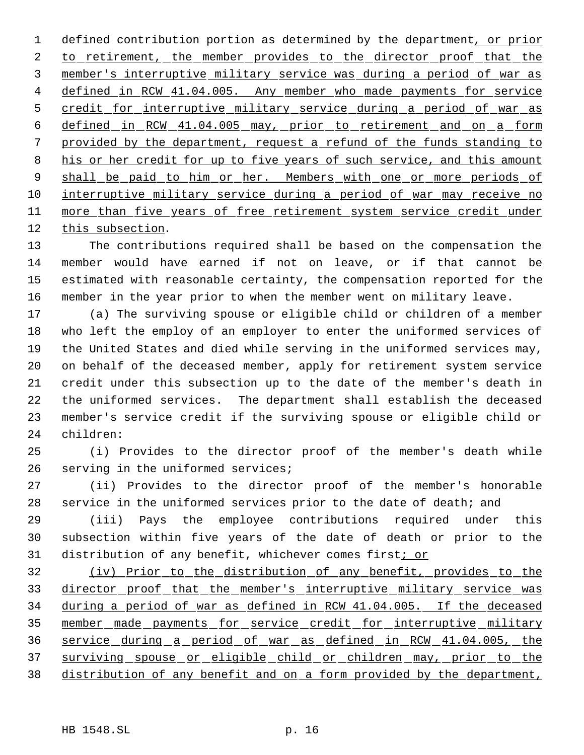1 defined contribution portion as determined by the department, or prior 2 to retirement, the member provides to the director proof that the member's interruptive military service was during a period of war as 4 defined in RCW 41.04.005. Any member who made payments for service 5 credit for interruptive military service during a period of war as defined in RCW 41.04.005 may, prior to retirement and on a form provided by the department, request a refund of the funds standing to 8 his or her credit for up to five years of such service, and this amount 9 shall be paid to him or her. Members with one or more periods of 10 interruptive military service during a period of war may receive no 11 more than five years of free retirement system service credit under this subsection.

 The contributions required shall be based on the compensation the member would have earned if not on leave, or if that cannot be estimated with reasonable certainty, the compensation reported for the member in the year prior to when the member went on military leave.

 (a) The surviving spouse or eligible child or children of a member who left the employ of an employer to enter the uniformed services of the United States and died while serving in the uniformed services may, on behalf of the deceased member, apply for retirement system service credit under this subsection up to the date of the member's death in the uniformed services. The department shall establish the deceased member's service credit if the surviving spouse or eligible child or children:

 (i) Provides to the director proof of the member's death while serving in the uniformed services;

 (ii) Provides to the director proof of the member's honorable service in the uniformed services prior to the date of death; and

 (iii) Pays the employee contributions required under this subsection within five years of the date of death or prior to the 31 distribution of any benefit, whichever comes first; or

 (iv) Prior to the distribution of any benefit, provides to the 33 director proof that the member's interruptive military service was during a period of war as defined in RCW 41.04.005. If the deceased 35 member made payments for service credit for interruptive military service during a period of war as defined in RCW 41.04.005, the surviving spouse or eligible child or children may, prior to the distribution of any benefit and on a form provided by the department,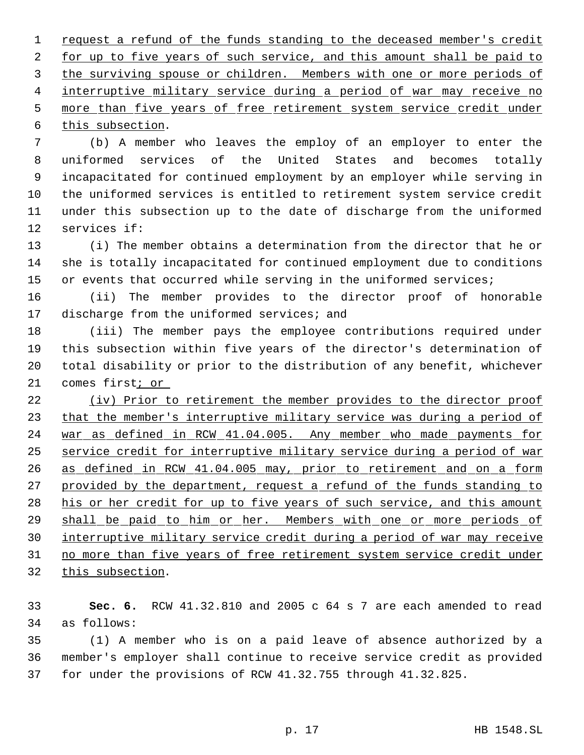1 request a refund of the funds standing to the deceased member's credit 2 for up to five years of such service, and this amount shall be paid to the surviving spouse or children. Members with one or more periods of 4 interruptive military service during a period of war may receive no 5 more than five years of free retirement system service credit under this subsection.

 (b) A member who leaves the employ of an employer to enter the uniformed services of the United States and becomes totally incapacitated for continued employment by an employer while serving in the uniformed services is entitled to retirement system service credit under this subsection up to the date of discharge from the uniformed services if:

 (i) The member obtains a determination from the director that he or she is totally incapacitated for continued employment due to conditions 15 or events that occurred while serving in the uniformed services;

 (ii) The member provides to the director proof of honorable 17 discharge from the uniformed services; and

 (iii) The member pays the employee contributions required under this subsection within five years of the director's determination of total disability or prior to the distribution of any benefit, whichever comes first; or

 (iv) Prior to retirement the member provides to the director proof 23 that the member's interruptive military service was during a period of 24 war as defined in RCW 41.04.005. Any member who made payments for service credit for interruptive military service during a period of war as defined in RCW 41.04.005 may, prior to retirement and on a form 27 provided by the department, request a refund of the funds standing to 28 his or her credit for up to five years of such service, and this amount 29 shall be paid to him or her. Members with one or more periods of interruptive military service credit during a period of war may receive 31 no more than five years of free retirement system service credit under this subsection.

 **Sec. 6.** RCW 41.32.810 and 2005 c 64 s 7 are each amended to read as follows:

 (1) A member who is on a paid leave of absence authorized by a member's employer shall continue to receive service credit as provided for under the provisions of RCW 41.32.755 through 41.32.825.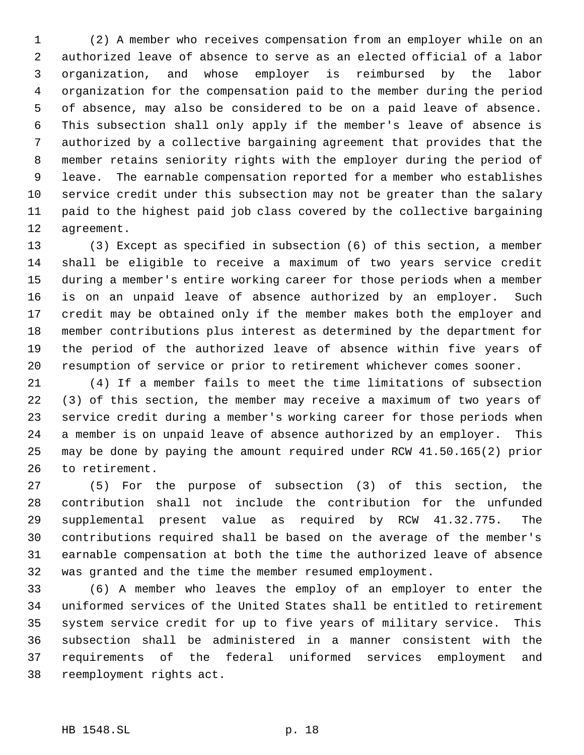(2) A member who receives compensation from an employer while on an authorized leave of absence to serve as an elected official of a labor organization, and whose employer is reimbursed by the labor organization for the compensation paid to the member during the period of absence, may also be considered to be on a paid leave of absence. This subsection shall only apply if the member's leave of absence is authorized by a collective bargaining agreement that provides that the member retains seniority rights with the employer during the period of leave. The earnable compensation reported for a member who establishes service credit under this subsection may not be greater than the salary paid to the highest paid job class covered by the collective bargaining agreement.

 (3) Except as specified in subsection (6) of this section, a member shall be eligible to receive a maximum of two years service credit during a member's entire working career for those periods when a member is on an unpaid leave of absence authorized by an employer. Such credit may be obtained only if the member makes both the employer and member contributions plus interest as determined by the department for the period of the authorized leave of absence within five years of resumption of service or prior to retirement whichever comes sooner.

 (4) If a member fails to meet the time limitations of subsection (3) of this section, the member may receive a maximum of two years of service credit during a member's working career for those periods when a member is on unpaid leave of absence authorized by an employer. This may be done by paying the amount required under RCW 41.50.165(2) prior to retirement.

 (5) For the purpose of subsection (3) of this section, the contribution shall not include the contribution for the unfunded supplemental present value as required by RCW 41.32.775. The contributions required shall be based on the average of the member's earnable compensation at both the time the authorized leave of absence was granted and the time the member resumed employment.

 (6) A member who leaves the employ of an employer to enter the uniformed services of the United States shall be entitled to retirement system service credit for up to five years of military service. This subsection shall be administered in a manner consistent with the requirements of the federal uniformed services employment and reemployment rights act.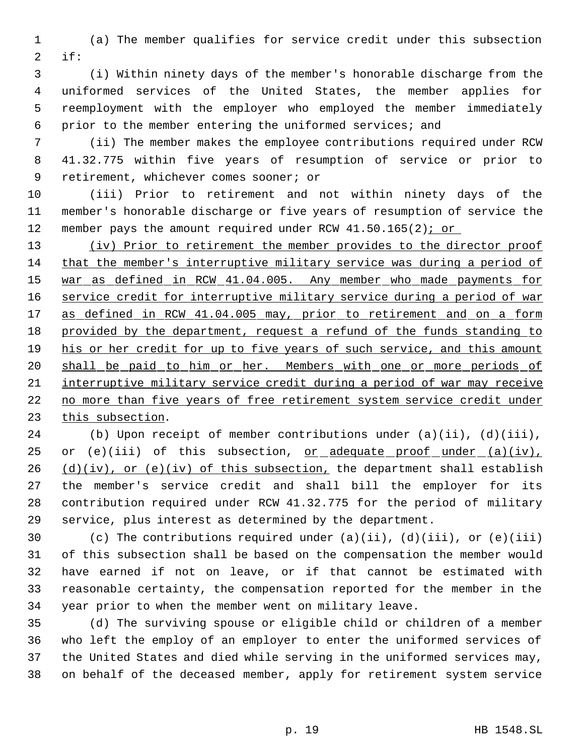(a) The member qualifies for service credit under this subsection if:

 (i) Within ninety days of the member's honorable discharge from the uniformed services of the United States, the member applies for reemployment with the employer who employed the member immediately prior to the member entering the uniformed services; and

 (ii) The member makes the employee contributions required under RCW 41.32.775 within five years of resumption of service or prior to retirement, whichever comes sooner; or

 (iii) Prior to retirement and not within ninety days of the member's honorable discharge or five years of resumption of service the 12 member pays the amount required under RCW 41.50.165(2); or

 (iv) Prior to retirement the member provides to the director proof that the member's interruptive military service was during a period of war as defined in RCW 41.04.005. Any member who made payments for 16 service credit for interruptive military service during a period of war 17 as defined in RCW 41.04.005 may, prior to retirement and on a form provided by the department, request a refund of the funds standing to 19 his or her credit for up to five years of such service, and this amount shall be paid to him or her. Members with one or more periods of interruptive military service credit during a period of war may receive no more than five years of free retirement system service credit under this subsection.

 (b) Upon receipt of member contributions under (a)(ii), (d)(iii), 25 or  $(e)(iii)$  of this subsection, or adequate proof under  $(a)(iv)$ ,  $(d)(iv)$ , or (e)(iv) of this subsection, the department shall establish the member's service credit and shall bill the employer for its contribution required under RCW 41.32.775 for the period of military service, plus interest as determined by the department.

 (c) The contributions required under (a)(ii), (d)(iii), or (e)(iii) of this subsection shall be based on the compensation the member would have earned if not on leave, or if that cannot be estimated with reasonable certainty, the compensation reported for the member in the year prior to when the member went on military leave.

 (d) The surviving spouse or eligible child or children of a member who left the employ of an employer to enter the uniformed services of the United States and died while serving in the uniformed services may, on behalf of the deceased member, apply for retirement system service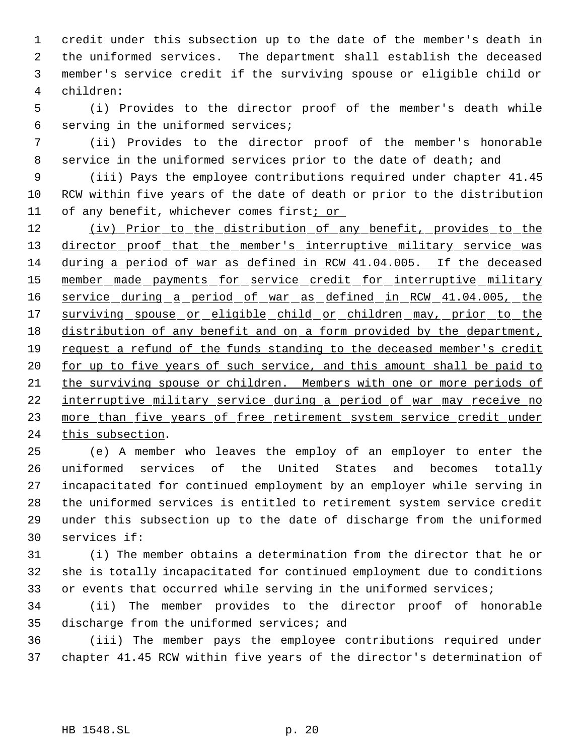credit under this subsection up to the date of the member's death in the uniformed services. The department shall establish the deceased member's service credit if the surviving spouse or eligible child or children:

 (i) Provides to the director proof of the member's death while serving in the uniformed services;

 (ii) Provides to the director proof of the member's honorable 8 service in the uniformed services prior to the date of death; and

 (iii) Pays the employee contributions required under chapter 41.45 RCW within five years of the date of death or prior to the distribution of any benefit, whichever comes first; or

12 (iv) Prior to the distribution of any benefit, provides to the 13 director proof that the member's interruptive military service was during a period of war as defined in RCW 41.04.005. If the deceased 15 member made payments for service credit for interruptive military service during a period of war as defined in RCW 41.04.005, the 17 surviving spouse or eligible child or children may, prior to the distribution of any benefit and on a form provided by the department, 19 request a refund of the funds standing to the deceased member's credit 20 for up to five years of such service, and this amount shall be paid to the surviving spouse or children. Members with one or more periods of interruptive military service during a period of war may receive no 23 more than five years of free retirement system service credit under this subsection.

 (e) A member who leaves the employ of an employer to enter the uniformed services of the United States and becomes totally incapacitated for continued employment by an employer while serving in the uniformed services is entitled to retirement system service credit under this subsection up to the date of discharge from the uniformed services if:

 (i) The member obtains a determination from the director that he or she is totally incapacitated for continued employment due to conditions 33 or events that occurred while serving in the uniformed services;

 (ii) The member provides to the director proof of honorable 35 discharge from the uniformed services; and

 (iii) The member pays the employee contributions required under chapter 41.45 RCW within five years of the director's determination of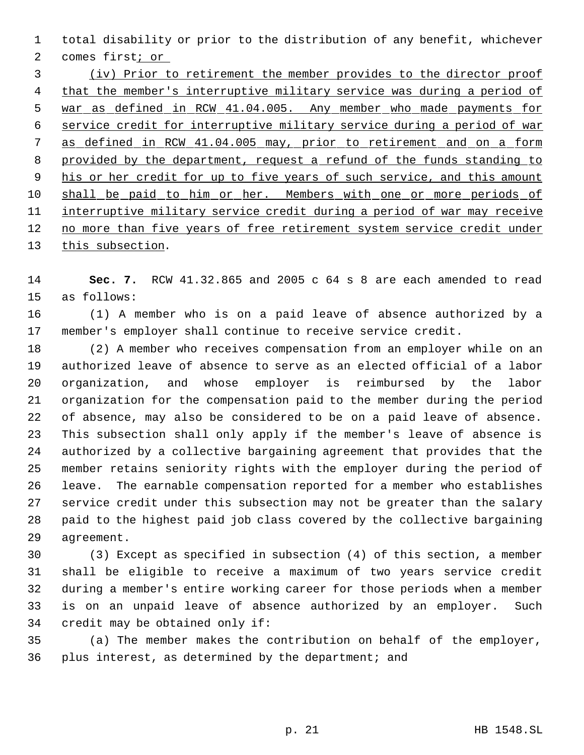total disability or prior to the distribution of any benefit, whichever comes first; or

 (iv) Prior to retirement the member provides to the director proof 4 that the member's interruptive military service was during a period of war as defined in RCW 41.04.005. Any member who made payments for service credit for interruptive military service during a period of war as defined in RCW 41.04.005 may, prior to retirement and on a form provided by the department, request a refund of the funds standing to 9 his or her credit for up to five years of such service, and this amount 10 shall be paid to him or her. Members with one or more periods of 11 interruptive military service credit during a period of war may receive 12 no more than five years of free retirement system service credit under 13 this subsection.

 **Sec. 7.** RCW 41.32.865 and 2005 c 64 s 8 are each amended to read as follows:

 (1) A member who is on a paid leave of absence authorized by a member's employer shall continue to receive service credit.

 (2) A member who receives compensation from an employer while on an authorized leave of absence to serve as an elected official of a labor organization, and whose employer is reimbursed by the labor organization for the compensation paid to the member during the period of absence, may also be considered to be on a paid leave of absence. This subsection shall only apply if the member's leave of absence is authorized by a collective bargaining agreement that provides that the member retains seniority rights with the employer during the period of leave. The earnable compensation reported for a member who establishes service credit under this subsection may not be greater than the salary paid to the highest paid job class covered by the collective bargaining agreement.

 (3) Except as specified in subsection (4) of this section, a member shall be eligible to receive a maximum of two years service credit during a member's entire working career for those periods when a member is on an unpaid leave of absence authorized by an employer. Such credit may be obtained only if:

 (a) The member makes the contribution on behalf of the employer, plus interest, as determined by the department; and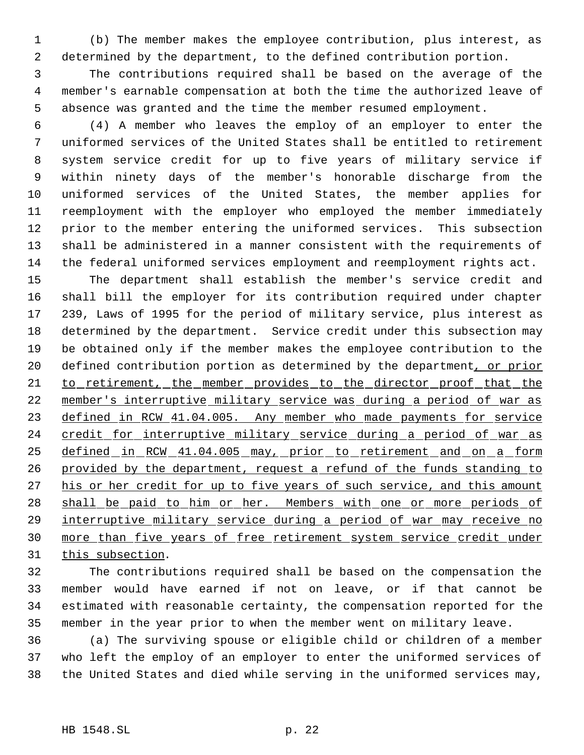(b) The member makes the employee contribution, plus interest, as determined by the department, to the defined contribution portion.

 The contributions required shall be based on the average of the member's earnable compensation at both the time the authorized leave of absence was granted and the time the member resumed employment.

 (4) A member who leaves the employ of an employer to enter the uniformed services of the United States shall be entitled to retirement system service credit for up to five years of military service if within ninety days of the member's honorable discharge from the uniformed services of the United States, the member applies for reemployment with the employer who employed the member immediately prior to the member entering the uniformed services. This subsection shall be administered in a manner consistent with the requirements of the federal uniformed services employment and reemployment rights act.

 The department shall establish the member's service credit and shall bill the employer for its contribution required under chapter 239, Laws of 1995 for the period of military service, plus interest as determined by the department. Service credit under this subsection may be obtained only if the member makes the employee contribution to the 20 defined contribution portion as determined by the department, or prior 21 to retirement, the member provides to the director proof that the member's interruptive military service was during a period of war as 23 defined in RCW 41.04.005. Any member who made payments for service 24 credit for interruptive military service during a period of war as 25 defined in RCW 41.04.005 may, prior to retirement and on a form provided by the department, request a refund of the funds standing to 27 his or her credit for up to five years of such service, and this amount 28 shall be paid to him or her. Members with one or more periods of interruptive military service during a period of war may receive no more than five years of free retirement system service credit under 31 this subsection.

 The contributions required shall be based on the compensation the member would have earned if not on leave, or if that cannot be estimated with reasonable certainty, the compensation reported for the member in the year prior to when the member went on military leave.

 (a) The surviving spouse or eligible child or children of a member who left the employ of an employer to enter the uniformed services of the United States and died while serving in the uniformed services may,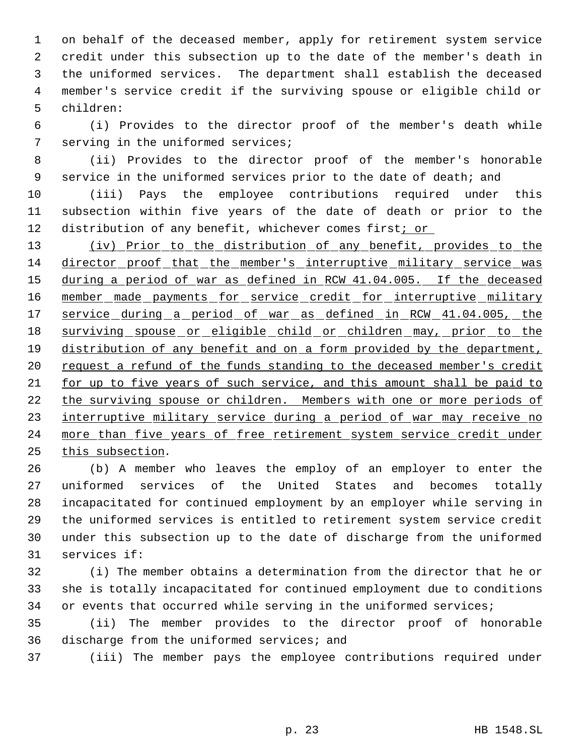on behalf of the deceased member, apply for retirement system service credit under this subsection up to the date of the member's death in the uniformed services. The department shall establish the deceased member's service credit if the surviving spouse or eligible child or children:

 (i) Provides to the director proof of the member's death while serving in the uniformed services;

 (ii) Provides to the director proof of the member's honorable 9 service in the uniformed services prior to the date of death; and

 (iii) Pays the employee contributions required under this subsection within five years of the date of death or prior to the 12 distribution of any benefit, whichever comes first<u>; or</u>

13 (iv) Prior to the distribution of any benefit, provides to the director proof that the member's interruptive military service was during a period of war as defined in RCW 41.04.005. If the deceased 16 member made payments for service credit for interruptive military service during a period of war as defined in RCW 41.04.005, the 18 surviving spouse or eligible child or children may, prior to the 19 distribution of any benefit and on a form provided by the department, 20 request a refund of the funds standing to the deceased member's credit for up to five years of such service, and this amount shall be paid to 22 the surviving spouse or children. Members with one or more periods of 23 interruptive military service during a period of war may receive no 24 more than five years of free retirement system service credit under this subsection.

 (b) A member who leaves the employ of an employer to enter the uniformed services of the United States and becomes totally incapacitated for continued employment by an employer while serving in the uniformed services is entitled to retirement system service credit under this subsection up to the date of discharge from the uniformed services if:

 (i) The member obtains a determination from the director that he or she is totally incapacitated for continued employment due to conditions 34 or events that occurred while serving in the uniformed services;

 (ii) The member provides to the director proof of honorable discharge from the uniformed services; and

(iii) The member pays the employee contributions required under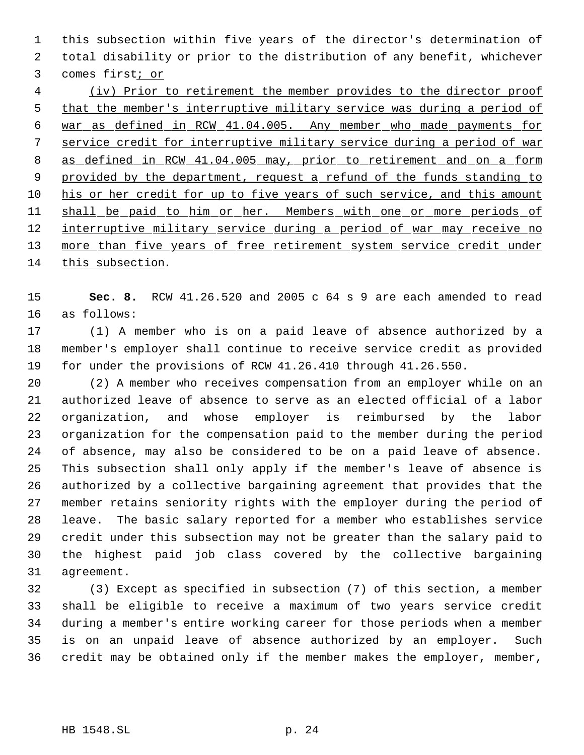this subsection within five years of the director's determination of total disability or prior to the distribution of any benefit, whichever comes first; or

 (iv) Prior to retirement the member provides to the director proof that the member's interruptive military service was during a period of war as defined in RCW 41.04.005. Any member who made payments for service credit for interruptive military service during a period of war as defined in RCW 41.04.005 may, prior to retirement and on a form 9 provided by the department, request a refund of the funds standing to his or her credit for up to five years of such service, and this amount 11 shall be paid to him or her. Members with one or more periods of 12 interruptive military service during a period of war may receive no 13 more than five years of free retirement system service credit under this subsection.

 **Sec. 8.** RCW 41.26.520 and 2005 c 64 s 9 are each amended to read as follows:

 (1) A member who is on a paid leave of absence authorized by a member's employer shall continue to receive service credit as provided for under the provisions of RCW 41.26.410 through 41.26.550.

 (2) A member who receives compensation from an employer while on an authorized leave of absence to serve as an elected official of a labor organization, and whose employer is reimbursed by the labor organization for the compensation paid to the member during the period of absence, may also be considered to be on a paid leave of absence. This subsection shall only apply if the member's leave of absence is authorized by a collective bargaining agreement that provides that the member retains seniority rights with the employer during the period of leave. The basic salary reported for a member who establishes service credit under this subsection may not be greater than the salary paid to the highest paid job class covered by the collective bargaining agreement.

 (3) Except as specified in subsection (7) of this section, a member shall be eligible to receive a maximum of two years service credit during a member's entire working career for those periods when a member is on an unpaid leave of absence authorized by an employer. Such credit may be obtained only if the member makes the employer, member,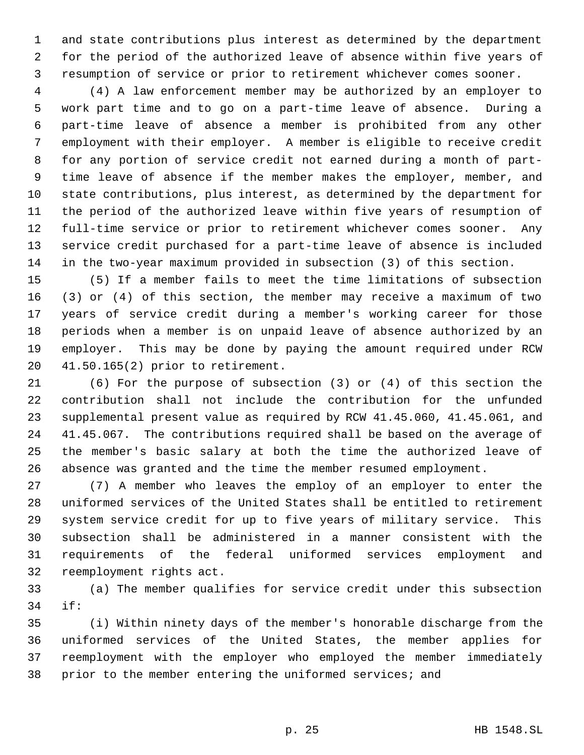and state contributions plus interest as determined by the department for the period of the authorized leave of absence within five years of resumption of service or prior to retirement whichever comes sooner.

 (4) A law enforcement member may be authorized by an employer to work part time and to go on a part-time leave of absence. During a part-time leave of absence a member is prohibited from any other employment with their employer. A member is eligible to receive credit for any portion of service credit not earned during a month of part- time leave of absence if the member makes the employer, member, and state contributions, plus interest, as determined by the department for the period of the authorized leave within five years of resumption of full-time service or prior to retirement whichever comes sooner. Any service credit purchased for a part-time leave of absence is included in the two-year maximum provided in subsection (3) of this section.

 (5) If a member fails to meet the time limitations of subsection (3) or (4) of this section, the member may receive a maximum of two years of service credit during a member's working career for those periods when a member is on unpaid leave of absence authorized by an employer. This may be done by paying the amount required under RCW 41.50.165(2) prior to retirement.

 (6) For the purpose of subsection (3) or (4) of this section the contribution shall not include the contribution for the unfunded supplemental present value as required by RCW 41.45.060, 41.45.061, and 41.45.067. The contributions required shall be based on the average of the member's basic salary at both the time the authorized leave of absence was granted and the time the member resumed employment.

 (7) A member who leaves the employ of an employer to enter the uniformed services of the United States shall be entitled to retirement system service credit for up to five years of military service. This subsection shall be administered in a manner consistent with the requirements of the federal uniformed services employment and reemployment rights act.

 (a) The member qualifies for service credit under this subsection if:

 (i) Within ninety days of the member's honorable discharge from the uniformed services of the United States, the member applies for reemployment with the employer who employed the member immediately prior to the member entering the uniformed services; and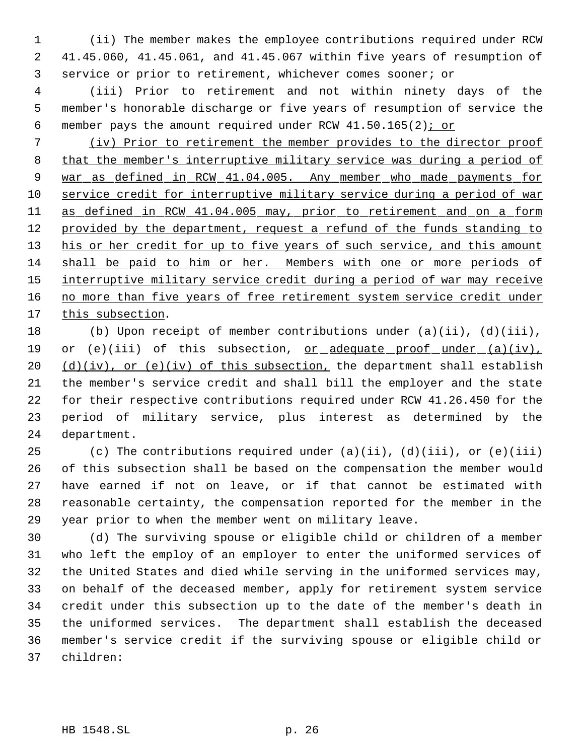(ii) The member makes the employee contributions required under RCW 41.45.060, 41.45.061, and 41.45.067 within five years of resumption of service or prior to retirement, whichever comes sooner; or

 (iii) Prior to retirement and not within ninety days of the member's honorable discharge or five years of resumption of service the 6 member pays the amount required under RCW  $41.50.165(2)$ ; or

 (iv) Prior to retirement the member provides to the director proof that the member's interruptive military service was during a period of 9 war as defined in RCW 41.04.005. Any member who made payments for service credit for interruptive military service during a period of war as defined in RCW 41.04.005 may, prior to retirement and on a form 12 provided by the department, request a refund of the funds standing to 13 his or her credit for up to five years of such service, and this amount shall be paid to him or her. Members with one or more periods of 15 interruptive military service credit during a period of war may receive 16 no more than five years of free retirement system service credit under 17 this subsection.

 (b) Upon receipt of member contributions under (a)(ii), (d)(iii), 19 or (e)(iii) of this subsection, <u>or adequate proof under (a)(iv)</u>,  $(d)(iv)$ , or (e)(iv) of this subsection, the department shall establish the member's service credit and shall bill the employer and the state for their respective contributions required under RCW 41.26.450 for the period of military service, plus interest as determined by the department.

25 (c) The contributions required under  $(a)(ii)$ ,  $(d)(iii)$ , or  $(e)(iii)$  of this subsection shall be based on the compensation the member would have earned if not on leave, or if that cannot be estimated with reasonable certainty, the compensation reported for the member in the year prior to when the member went on military leave.

 (d) The surviving spouse or eligible child or children of a member who left the employ of an employer to enter the uniformed services of the United States and died while serving in the uniformed services may, on behalf of the deceased member, apply for retirement system service credit under this subsection up to the date of the member's death in the uniformed services. The department shall establish the deceased member's service credit if the surviving spouse or eligible child or children: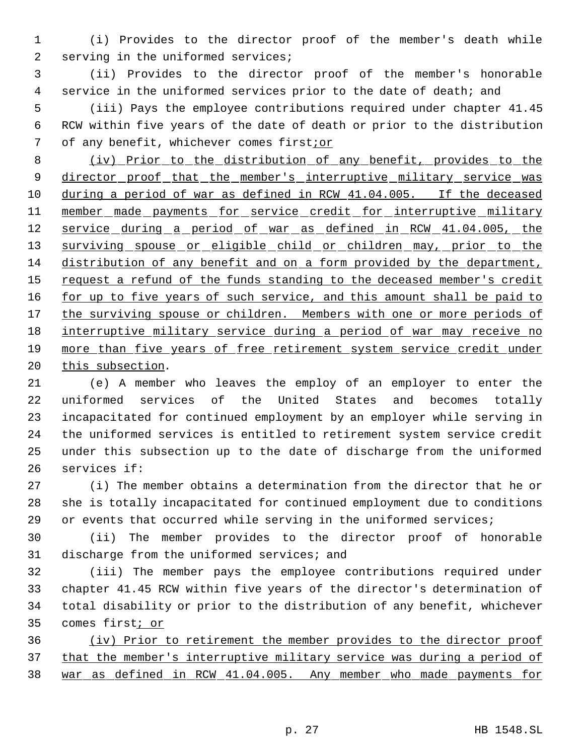(i) Provides to the director proof of the member's death while 2 serving in the uniformed services;

 (ii) Provides to the director proof of the member's honorable service in the uniformed services prior to the date of death; and

 (iii) Pays the employee contributions required under chapter 41.45 RCW within five years of the date of death or prior to the distribution of any benefit, whichever comes first;or

 (iv) Prior to the distribution of any benefit, provides to the 9 director proof that the member's interruptive military service was during a period of war as defined in RCW 41.04.005. If the deceased 11 member made payments for service credit for interruptive military service during a period of war as defined in RCW 41.04.005, the 13 surviving spouse or eligible child or children may, prior to the distribution of any benefit and on a form provided by the department, 15 request a refund of the funds standing to the deceased member's credit 16 for up to five years of such service, and this amount shall be paid to 17 the surviving spouse or children. Members with one or more periods of interruptive military service during a period of war may receive no more than five years of free retirement system service credit under 20 this subsection.

 (e) A member who leaves the employ of an employer to enter the uniformed services of the United States and becomes totally incapacitated for continued employment by an employer while serving in the uniformed services is entitled to retirement system service credit under this subsection up to the date of discharge from the uniformed services if:

 (i) The member obtains a determination from the director that he or she is totally incapacitated for continued employment due to conditions or events that occurred while serving in the uniformed services;

 (ii) The member provides to the director proof of honorable 31 discharge from the uniformed services; and

 (iii) The member pays the employee contributions required under chapter 41.45 RCW within five years of the director's determination of total disability or prior to the distribution of any benefit, whichever 35 comes first<sub>i or</sub>

 (iv) Prior to retirement the member provides to the director proof 37 that the member's interruptive military service was during a period of war as defined in RCW 41.04.005. Any member who made payments for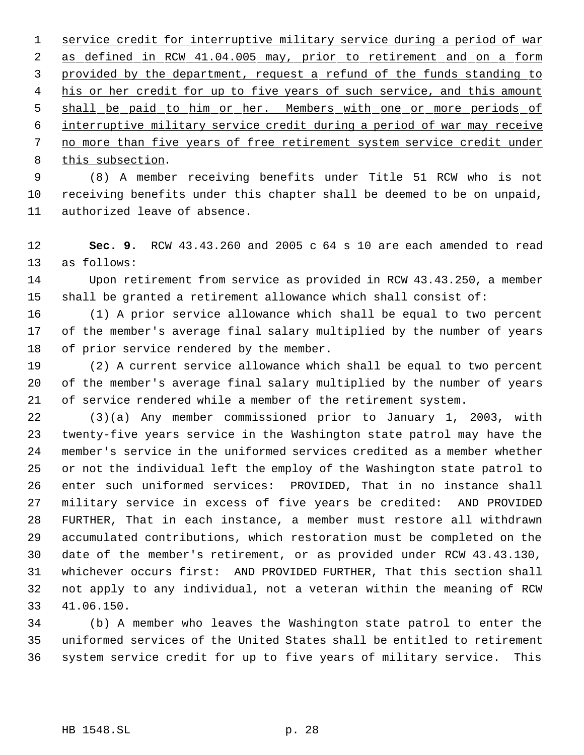service credit for interruptive military service during a period of war 2 as defined in RCW 41.04.005 may, prior to retirement and on a form provided by the department, request a refund of the funds standing to 4 his or her credit for up to five years of such service, and this amount 5 shall be paid to him or her. Members with one or more periods of interruptive military service credit during a period of war may receive 7 no more than five years of free retirement system service credit under this subsection.

 (8) A member receiving benefits under Title 51 RCW who is not receiving benefits under this chapter shall be deemed to be on unpaid, authorized leave of absence.

 **Sec. 9.** RCW 43.43.260 and 2005 c 64 s 10 are each amended to read as follows:

 Upon retirement from service as provided in RCW 43.43.250, a member shall be granted a retirement allowance which shall consist of:

 (1) A prior service allowance which shall be equal to two percent of the member's average final salary multiplied by the number of years 18 of prior service rendered by the member.

 (2) A current service allowance which shall be equal to two percent of the member's average final salary multiplied by the number of years of service rendered while a member of the retirement system.

 (3)(a) Any member commissioned prior to January 1, 2003, with twenty-five years service in the Washington state patrol may have the member's service in the uniformed services credited as a member whether or not the individual left the employ of the Washington state patrol to enter such uniformed services: PROVIDED, That in no instance shall military service in excess of five years be credited: AND PROVIDED FURTHER, That in each instance, a member must restore all withdrawn accumulated contributions, which restoration must be completed on the date of the member's retirement, or as provided under RCW 43.43.130, whichever occurs first: AND PROVIDED FURTHER, That this section shall not apply to any individual, not a veteran within the meaning of RCW 41.06.150.

 (b) A member who leaves the Washington state patrol to enter the uniformed services of the United States shall be entitled to retirement system service credit for up to five years of military service. This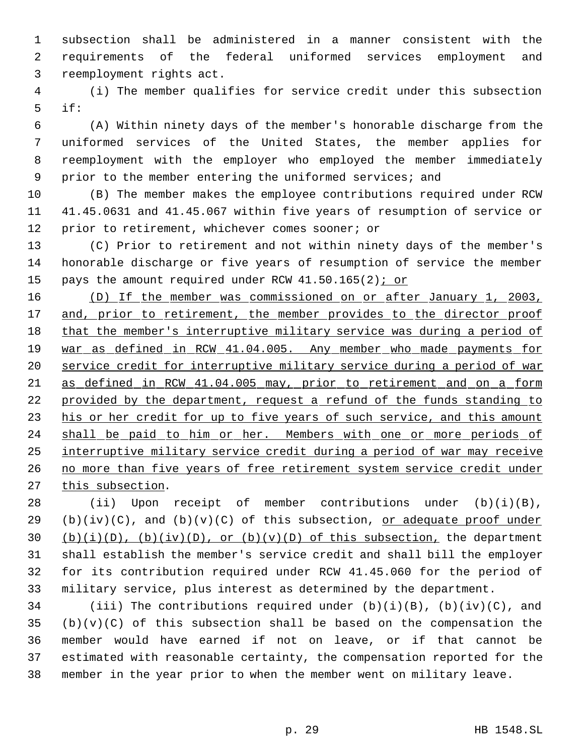subsection shall be administered in a manner consistent with the requirements of the federal uniformed services employment and reemployment rights act.

 (i) The member qualifies for service credit under this subsection if:

 (A) Within ninety days of the member's honorable discharge from the uniformed services of the United States, the member applies for reemployment with the employer who employed the member immediately 9 prior to the member entering the uniformed services; and

 (B) The member makes the employee contributions required under RCW 41.45.0631 and 41.45.067 within five years of resumption of service or prior to retirement, whichever comes sooner; or

 (C) Prior to retirement and not within ninety days of the member's honorable discharge or five years of resumption of service the member 15 pays the amount required under RCW  $41.50.165(2)$  i or

 (D) If the member was commissioned on or after January 1, 2003, 17 and, prior to retirement, the member provides to the director proof 18 that the member's interruptive military service was during a period of 19 war as defined in RCW 41.04.005. Any member who made payments for service credit for interruptive military service during a period of war as defined in RCW 41.04.005 may, prior to retirement and on a form 22 provided by the department, request a refund of the funds standing to 23 his or her credit for up to five years of such service, and this amount 24 shall be paid to him or her. Members with one or more periods of interruptive military service credit during a period of war may receive no more than five years of free retirement system service credit under 27 this subsection.

 (ii) Upon receipt of member contributions under (b)(i)(B), 29 (b)(iv)(C), and (b)(v)(C) of this subsection, or adequate proof under  $(b)(i)(D)$ ,  $(b)(iv)(D)$ , or  $(b)(v)(D)$  of this subsection, the department shall establish the member's service credit and shall bill the employer for its contribution required under RCW 41.45.060 for the period of military service, plus interest as determined by the department.

34 (iii) The contributions required under  $(b)(i)(B)$ ,  $(b)(iv)(C)$ , and (b)(v)(C) of this subsection shall be based on the compensation the member would have earned if not on leave, or if that cannot be estimated with reasonable certainty, the compensation reported for the member in the year prior to when the member went on military leave.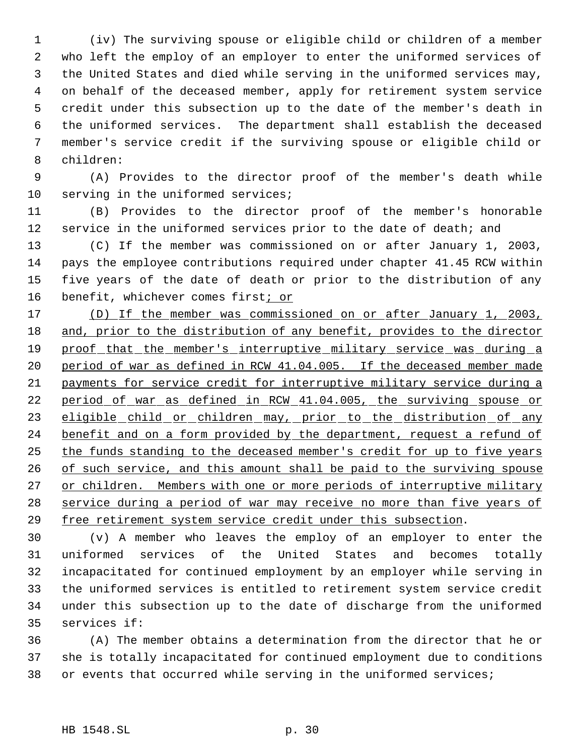(iv) The surviving spouse or eligible child or children of a member who left the employ of an employer to enter the uniformed services of the United States and died while serving in the uniformed services may, on behalf of the deceased member, apply for retirement system service credit under this subsection up to the date of the member's death in the uniformed services. The department shall establish the deceased member's service credit if the surviving spouse or eligible child or children:

 (A) Provides to the director proof of the member's death while 10 serving in the uniformed services;

 (B) Provides to the director proof of the member's honorable 12 service in the uniformed services prior to the date of death; and

 (C) If the member was commissioned on or after January 1, 2003, pays the employee contributions required under chapter 41.45 RCW within five years of the date of death or prior to the distribution of any 16 benefit, whichever comes first<sub>i or</sub>

 (D) If the member was commissioned on or after January 1, 2003, and, prior to the distribution of any benefit, provides to the director 19 proof that the member's interruptive military service was during a period of war as defined in RCW 41.04.005. If the deceased member made payments for service credit for interruptive military service during a 22 period of war as defined in RCW 41.04.005, the surviving spouse or 23 eligible child or children may, prior to the distribution of any 24 benefit and on a form provided by the department, request a refund of the funds standing to the deceased member's credit for up to five years 26 of such service, and this amount shall be paid to the surviving spouse 27 or children. Members with one or more periods of interruptive military 28 service during a period of war may receive no more than five years of free retirement system service credit under this subsection.

 (v) A member who leaves the employ of an employer to enter the uniformed services of the United States and becomes totally incapacitated for continued employment by an employer while serving in the uniformed services is entitled to retirement system service credit under this subsection up to the date of discharge from the uniformed services if:

 (A) The member obtains a determination from the director that he or she is totally incapacitated for continued employment due to conditions or events that occurred while serving in the uniformed services;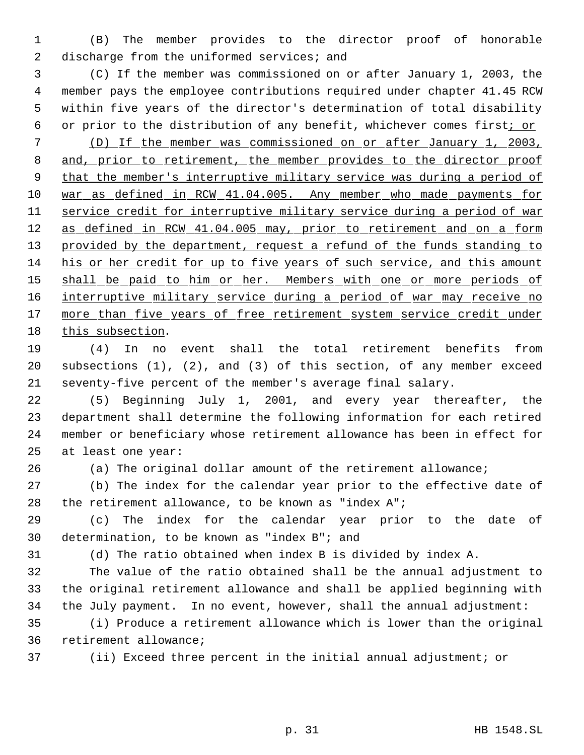(B) The member provides to the director proof of honorable 2 discharge from the uniformed services; and

 (C) If the member was commissioned on or after January 1, 2003, the member pays the employee contributions required under chapter 41.45 RCW within five years of the director's determination of total disability 6 or prior to the distribution of any benefit, whichever comes first; or

 (D) If the member was commissioned on or after January 1, 2003, 8 and, prior to retirement, the member provides to the director proof that the member's interruptive military service was during a period of 10 war as defined in RCW 41.04.005. Any member who made payments for service credit for interruptive military service during a period of war 12 as defined in RCW 41.04.005 may, prior to retirement and on a form 13 provided by the department, request a refund of the funds standing to his or her credit for up to five years of such service, and this amount 15 shall be paid to him or her. Members with one or more periods of 16 interruptive military service during a period of war may receive no 17 more than five years of free retirement system service credit under this subsection.

 (4) In no event shall the total retirement benefits from subsections (1), (2), and (3) of this section, of any member exceed seventy-five percent of the member's average final salary.

 (5) Beginning July 1, 2001, and every year thereafter, the department shall determine the following information for each retired member or beneficiary whose retirement allowance has been in effect for at least one year:

(a) The original dollar amount of the retirement allowance;

 (b) The index for the calendar year prior to the effective date of the retirement allowance, to be known as "index A";

 (c) The index for the calendar year prior to the date of determination, to be known as "index B"; and

(d) The ratio obtained when index B is divided by index A.

 The value of the ratio obtained shall be the annual adjustment to the original retirement allowance and shall be applied beginning with the July payment. In no event, however, shall the annual adjustment:

 (i) Produce a retirement allowance which is lower than the original retirement allowance;

(ii) Exceed three percent in the initial annual adjustment; or